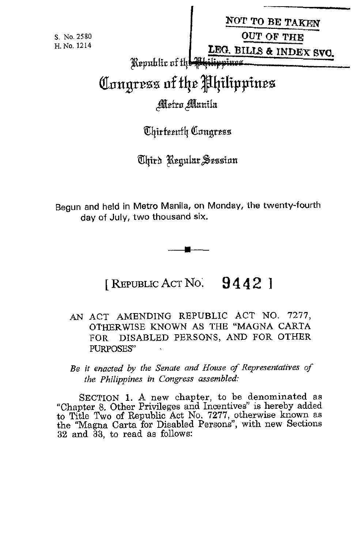|  | S. No. 2580 |
|--|-------------|
|  | H. No. 1214 |

| NOT TO BE TAKEN                                                                                                                                                                                                                |  |  |
|--------------------------------------------------------------------------------------------------------------------------------------------------------------------------------------------------------------------------------|--|--|
| OUT OF THE                                                                                                                                                                                                                     |  |  |
| and the contract of the contract of the contract of the contract of the contract of the contract of the contract of the contract of the contract of the contract of the contract of the contract of the contract of the contra |  |  |

Republic of the

**I** 

## Congress of the Philippines

## Metro Manila

Chirteenth Congress

Chird Regular Session

Begun and held in Metro Manila, on Monday, the twenty-fourth day of July, two thousand six.

## [ REPUBLIC ACT No; **9 4 4** 2 ]

- AN ACT AMENDING REPUBLIC ACT NO. *1211,*  OTHERWISE KNOWN AS THE "MAGNA CARTA FOR DISABLED PERSONS, AND FOR OTHER PURPOSES'
- *Be it enacted by the Senate and House of Representatives of the Philippines in Congress assembled:*

**SECTION** 1. A new chapter, to be denominated as "Chapter 8. Other Privileges and Incentives" is hereby added to Title Two of Republic Act No. *1271,* otherwise known as the "Magna Carta for Disabled Persons", with new Sections **32** and **38,** to read as follows: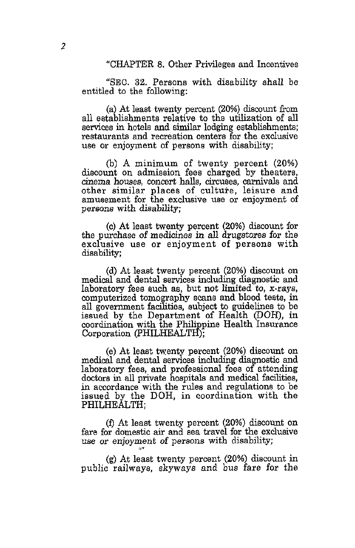"CHAPTER 8. Other Privileges and Incentives

"SEC. **32.** Persons with disability shall be entitled to the following:

(a) At least twenty percent (20%) discount from all eetablishments relative to the utilization of all services in hotels and *similar* lodging establishments; restaurants and recreation centers for the exclusive use or enjoyment of persons with disability;

(b) A minimum of twenty percent (20%) discount on admission fees charged by theaters, cinema houses, concert halls, circuses, carnivals and other similar places of culture, leisure and amusement for the exclusive use or enjoyment of persons with disability;

(c) At least twenty percent (20%) discount for the purchase of medicines in all drugstores for the exclusive use or enjoyment of persons with disability;

(d) At least twenty percent (20%) discount on medical and dental services including diagnostic and laboratory fees such as, but not limited to,  $x-rays$ , computerized tomography scans and blood tests, in **all** government facilities, subject to guidelines to be issued by the Department of Health (DOH), in coordination with the Philippine Health Insurance Corporation (PHILHEALTH);

(e) At least twenty percent (20%) discount on medical and dental services including diagnostic and doctors in all private hospitals and medical facilities, in accordance with the rules and regulations to be issued by the DOH, in coordination with the PHILHEALTH; laboratory fees, and professional fees of attending

**(f)** At least twenty percent (20%) discount on fare for domestic air and sea travel for the exclusive use or enjoyment of persons with disability;

(g) At least twenty percent (20%) discount in public railways, skyways and bus fare for the

*/om*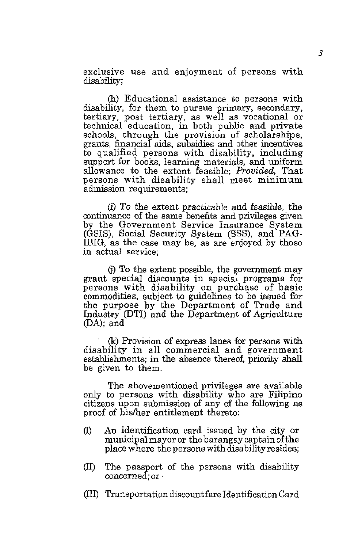exclusive use and enjoyment of persons with disability;

(h) Educational assistance to persons with disability, for them to pursue primary, secondary, tertiary, post tertiary, as well as vocational *or*  technical education, in both public and private schools, through the provision of scholarships, grants, financial aids, subsidies and other **incentives**  to qualified persons with disability, including support for books, learning materials, and uniform allowance to the extent feasible: *Prouided,* That persons with disability shall meet minimum admission requirements:

(i) To the extent practicable and feasible, the continuance of the same benefits and privileges given (GSIS), Social Security System (SSS), and PAG-IBIG, as the case may be, as are enjoyed by those in actual service;

(i) To the extent possible, the government may grant special discounts in special programs for persons with disability on purchase of basic commodities, subject to guidelines to be issued for the purpose by the Department of Trade and Industry @TI) and the Department of Agriculture **@A);** and

(k) Provision of express lanes for persons with disability in all commercial and government establishments; in the absence thereof, priority shall be given to them.

The abovementioned privileges are available only to persons with disability who are Filipino citizens upon submission of any of the following as proof of hisher entitlement thereto:

- *0* An identification card issued by the city or municipal mayor or the barangay captain ofthe place where the persons withdisabilityresides;
- (ID The passport of the persons with disability concerned; *or*
- *(I10* Transportation discount fare Identification Card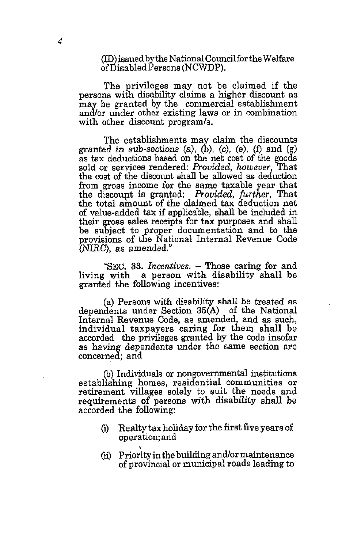(ID) issued by the National Council for the Welfare of Disabled Persons (NCWDP).

The privileges may not be claimed if the persons with disability claims a higher discount as may be granted by the commercial establishment **and/or** under other existing laws or in combination with other discount program/s.

The establishments may claim the discounts granted in sub-sections  $(a)$ ,  $(b)$ ,  $(c)$ ,  $(e)$ ,  $(f)$  and  $(g)$ as *tax* deductions based on the net cost of the goods sold or services rendered: *Provided, however*, That the cost of the discount shall be allowed as deduction from gross income for the same taxable year that the discount is granted: *Provided, further*, That the total amount of the claimed tax deduction net of value-added tax if applicable, shall be included in their gross sales receipts for tax purposes and shall be subject to proper documentation and to the provisions of the National Internal Revenue Code (NIRC), as amended."

**"SEC.** *33. Incentives.* - Those caring for and living with a person with disability shall be granted the following incentives:

(a) Persons with disability shall be treated as dependents under Section **35(A)** of the National Internal Revenue Code, as amended, and as such, individual taxpayers caring **for** them shall be accorded the privileges granted by the code insofar as having dependents under the same eection are concerned; and

@) Individuals or nongovernmental institutions establishing homes, residential communities or retirement villages solely to suit the needs and requirements of persons with disability shall be accorded the following:

- (i) Realty tax holiday for the first five years of operation; and
- (ii) Priority in the building and/or maintenance of provincial or municipal roads leading to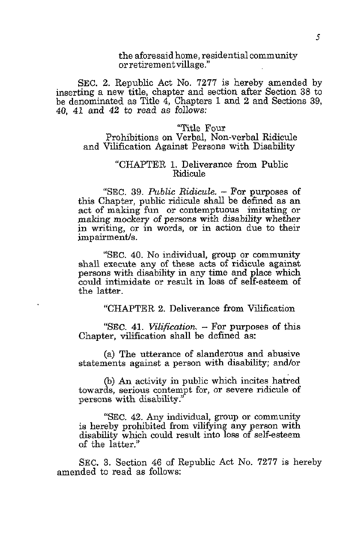the aforesaid home, residential community or retirement village."

SEC. 2. Republic Act No. **7277** is hereby amended by inserting a new title, chapter and section after Section **38** to be denominated as Title 4, Chapters 1 and **2** and Sections **39,**  40, 41 and 42 to read as follows:

"Title Four Prohibitions on Verbal, Non-verbal Ridicule and Vilification Against Persons with Disability

## "CHAPTER 1. Deliverance from Public Ridicule

"SEC. **39.** *Public Ridicule.* - For purposes of this Chapter, public ridicule shall be defined as an act of making fun or contemptuous imitating or making mockery of persons with disability whether in writing, or in words, or in action due to their impairment/s.

**"SEC.** 40. No individual, group or community shall execute any of these acts of ridicule against persons with disability in any time and place which could intimidate or result in loss of self-esteem of the latter.

"CHAPTER **2.** Deliverance from Vilification

**''SEC.** 41. *Vilification.* - For purposes of this Chapter, vilification shall be defined as:

(a) The utterance of slanderous and abusive statements against a person with disability; and/or

@) An activity in public which incites hatred towards, serious contempt for, or severe ridicule of persons with disability."

"SEC. 42. Any individual, group or community is hereby prohibited from vilifying any person with disability which could result into loss of self-esteem of the latter."

SEC. **3.** Section 46 of Republic Act No. **7277** is hereby amended to read as follows: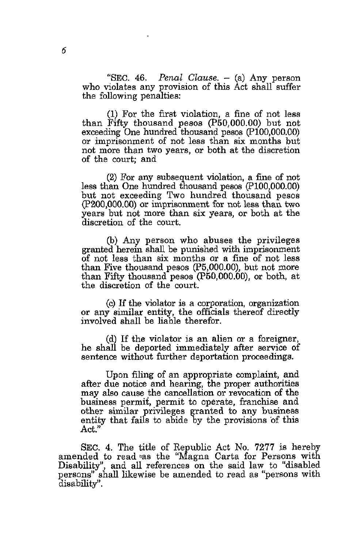"SEC. **46.** *Penal Clause.* - (a) Any person who violates any provision of this Act shall suffer the following penalties:

(1) For the first violation, a fine of not less than Fifty thousand pesos (P50,OOO.OO) but not exceeding One hundred thousand pesos (P100,000.00) or imprisonment of not less than *six* months but not more than two years, or both at the discretion of the court; and

**(2)** For any subsequent violation, a fine of not less than One hundred thousand pesos (PlO0,OOO.OO) but not exceeding Two hundred thousand pesos (P200,000.00) or imprisonment for not less than two years but not more than six years, or both at the discretion of the court.

(b) Any person who abuses the privileges granted herein shall be punished with imprisonment of not less than six months or a fine of not less than Five thousand pesos (P5,000.00), but not more than Fifty thousand pesos (P50,000.00), or both, at the discretion of the court.

(c) If the violator is a corporation, organization or any similar entity, the officials thereof directly involved shall be liable therefor.

(d) If the violator is an alien or a foreigner, he shall be deported immediately after service of sentence without further deportation proceedings.

Upon filing of an appropriate complaint, and **after** due notice and hearing, the proper authorities may also cause the cancellation or revocation of the business permit, permit to operate, franchise and other similar privileges granted to any business entity that fails to abide by the provisions of this Act."

SEC. **4.** The title of Republic Act No. **7277** is hereb SEC. 4. The title of Republic Act No. 7277 is hereby amended to read vas the "Magna Carta for Persons with Disability", and all references on the said law to "disabled persons'' shall likewise be amended to read as "persons with disability".